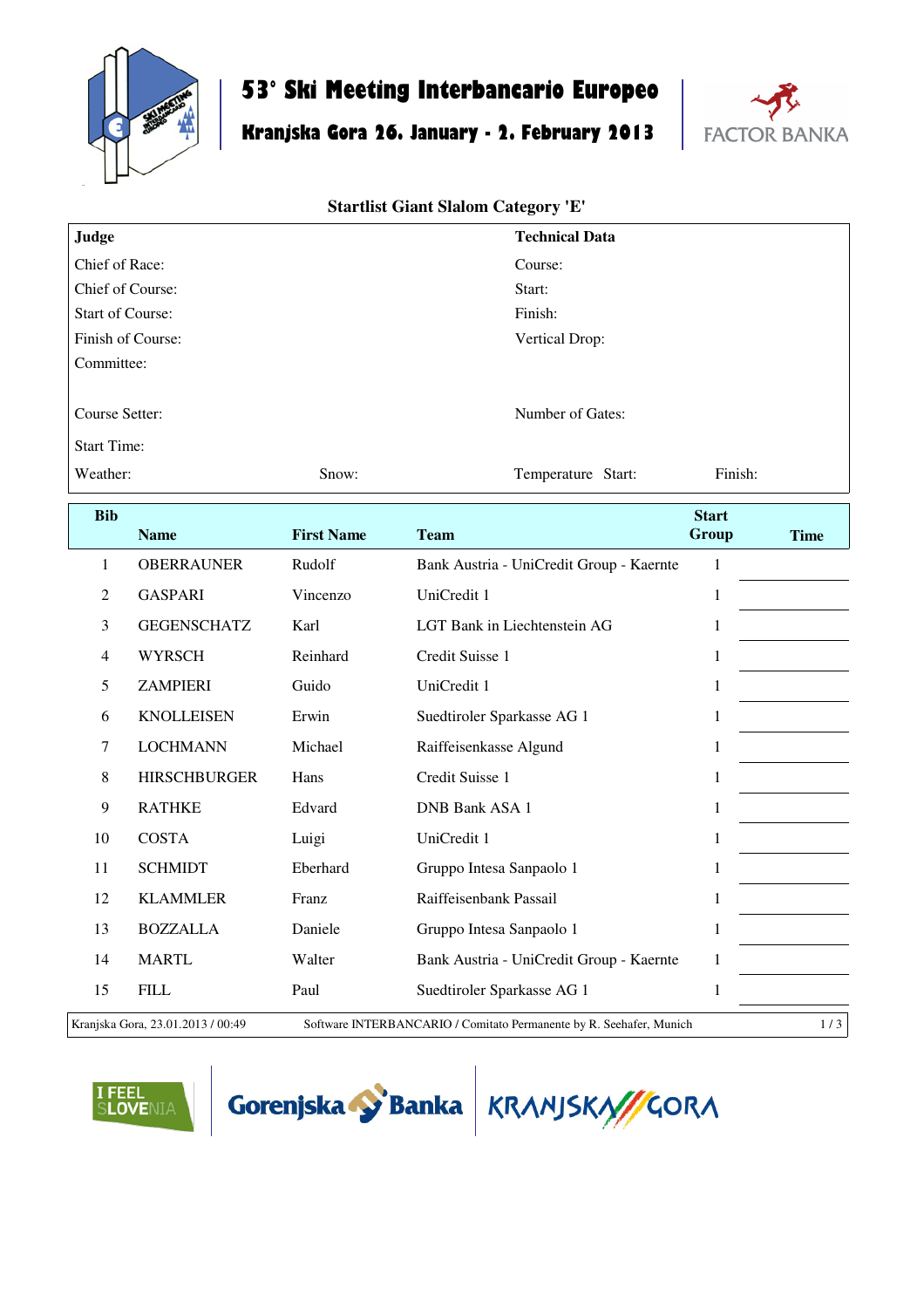

# **53° Ski Meeting Interbancario Europeo**

# **Kranjska Gora 26. January - 2. February 2013**



#### **Startlist Giant Slalom Category 'E'**

| Judge                   |                     |                   | <b>Technical Data</b>                    |              |             |  |  |  |
|-------------------------|---------------------|-------------------|------------------------------------------|--------------|-------------|--|--|--|
| Chief of Race:          |                     |                   | Course:                                  |              |             |  |  |  |
| Chief of Course:        |                     |                   | Start:                                   |              |             |  |  |  |
| <b>Start of Course:</b> |                     |                   |                                          | Finish:      |             |  |  |  |
|                         | Finish of Course:   |                   | Vertical Drop:                           |              |             |  |  |  |
| Committee:              |                     |                   |                                          |              |             |  |  |  |
| Course Setter:          |                     |                   | Number of Gates:                         |              |             |  |  |  |
| <b>Start Time:</b>      |                     |                   |                                          |              |             |  |  |  |
| Weather:                |                     | Snow:             | Temperature Start:                       | Finish:      |             |  |  |  |
| <b>Bib</b>              |                     |                   |                                          | <b>Start</b> |             |  |  |  |
|                         | <b>Name</b>         | <b>First Name</b> | <b>Team</b>                              | Group        | <b>Time</b> |  |  |  |
| 1                       | <b>OBERRAUNER</b>   | Rudolf            | Bank Austria - UniCredit Group - Kaernte | $\mathbf{1}$ |             |  |  |  |
| $\overline{2}$          | <b>GASPARI</b>      | Vincenzo          | UniCredit 1                              | $\mathbf{1}$ |             |  |  |  |
| $\overline{3}$          | <b>GEGENSCHATZ</b>  | Karl              | LGT Bank in Liechtenstein AG             | $\mathbf{1}$ |             |  |  |  |
| $\overline{4}$          | <b>WYRSCH</b>       | Reinhard          | Credit Suisse 1                          | $\mathbf{1}$ |             |  |  |  |
| 5                       | <b>ZAMPIERI</b>     | Guido             | UniCredit 1                              | 1            |             |  |  |  |
| 6                       | <b>KNOLLEISEN</b>   | Erwin             | Suedtiroler Sparkasse AG 1               | $\mathbf{1}$ |             |  |  |  |
| $\overline{7}$          | <b>LOCHMANN</b>     | Michael           | Raiffeisenkasse Algund                   | 1            |             |  |  |  |
| $8\,$                   | <b>HIRSCHBURGER</b> | Hans              | Credit Suisse 1                          | $\mathbf{1}$ |             |  |  |  |
| 9                       | <b>RATHKE</b>       | Edvard            | <b>DNB Bank ASA 1</b>                    | $\mathbf{1}$ |             |  |  |  |
| 10                      | <b>COSTA</b>        | Luigi             | UniCredit 1                              | $\mathbf{1}$ |             |  |  |  |
| 11                      | <b>SCHMIDT</b>      | Eberhard          | Gruppo Intesa Sanpaolo 1                 | $\mathbf{1}$ |             |  |  |  |
| 12                      | <b>KLAMMLER</b>     | Franz             | Raiffeisenbank Passail                   | 1            |             |  |  |  |
| 13                      | <b>BOZZALLA</b>     | Daniele           | Gruppo Intesa Sanpaolo 1                 | $\,1$        |             |  |  |  |
| 14                      | <b>MARTL</b>        | Walter            | Bank Austria - UniCredit Group - Kaernte | $\mathbf{1}$ |             |  |  |  |
| 15                      | <b>FILL</b>         | Paul              | Suedtiroler Sparkasse AG 1               | $\mathbf{1}$ |             |  |  |  |
|                         |                     |                   |                                          |              |             |  |  |  |

Kranjska Gora, 23.01.2013 / 00:49 Software INTERBANCARIO / Comitato Permanente by R. Seehafer, Munich 1 / 3 |





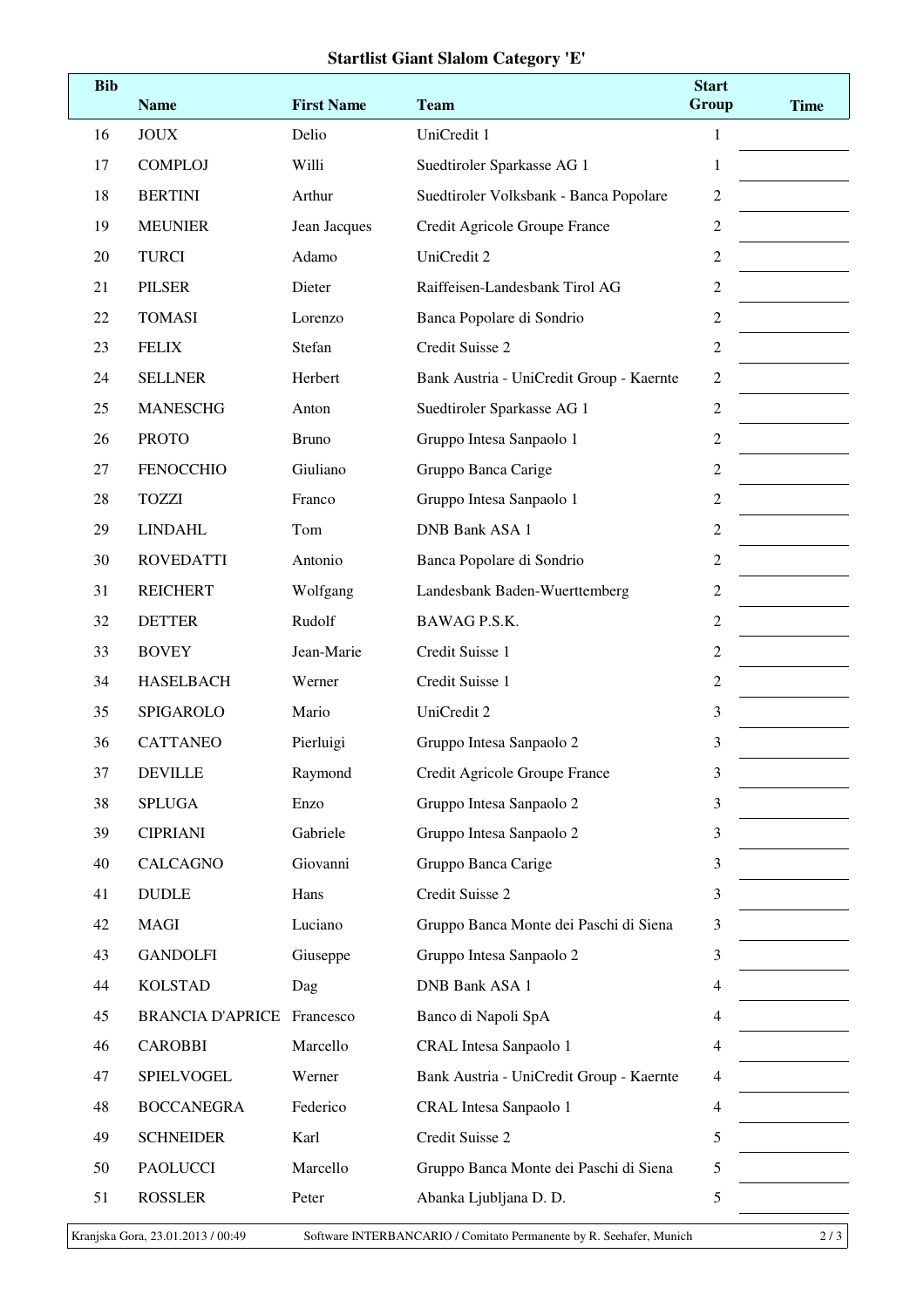## **Startlist Giant Slalom Category 'E'**

| <b>Bib</b> | <b>Name</b>             | <b>First Name</b> | <b>Team</b>                              | <b>Start</b><br>Group | <b>Time</b> |
|------------|-------------------------|-------------------|------------------------------------------|-----------------------|-------------|
| 16         | <b>JOUX</b>             | Delio             | UniCredit 1                              | $\mathbf{1}$          |             |
| 17         | <b>COMPLOJ</b>          | Willi             | Suedtiroler Sparkasse AG 1               | 1                     |             |
| 18         | <b>BERTINI</b>          | Arthur            | Suedtiroler Volksbank - Banca Popolare   | $\overline{c}$        |             |
| 19         | <b>MEUNIER</b>          | Jean Jacques      | Credit Agricole Groupe France            | $\overline{c}$        |             |
| 20         | <b>TURCI</b>            | Adamo             | UniCredit 2                              | 2                     |             |
| 21         | <b>PILSER</b>           | Dieter            | Raiffeisen-Landesbank Tirol AG           | 2                     |             |
| 22         | <b>TOMASI</b>           | Lorenzo           | Banca Popolare di Sondrio                | 2                     |             |
| 23         | <b>FELIX</b>            | Stefan            | Credit Suisse 2                          | $\overline{c}$        |             |
| 24         | <b>SELLNER</b>          | Herbert           | Bank Austria - UniCredit Group - Kaernte | 2                     |             |
| 25         | <b>MANESCHG</b>         | Anton             | Suedtiroler Sparkasse AG 1               | 2                     |             |
| 26         | <b>PROTO</b>            | <b>Bruno</b>      | Gruppo Intesa Sanpaolo 1                 | $\overline{c}$        |             |
| 27         | <b>FENOCCHIO</b>        | Giuliano          | Gruppo Banca Carige                      | $\overline{c}$        |             |
| 28         | <b>TOZZI</b>            | Franco            | Gruppo Intesa Sanpaolo 1                 | 2                     |             |
| 29         | <b>LINDAHL</b>          | Tom               | <b>DNB Bank ASA 1</b>                    | $\overline{c}$        |             |
| 30         | <b>ROVEDATTI</b>        | Antonio           | Banca Popolare di Sondrio                | $\overline{c}$        |             |
| 31         | <b>REICHERT</b>         | Wolfgang          | Landesbank Baden-Wuerttemberg            | $\overline{c}$        |             |
| 32         | <b>DETTER</b>           | Rudolf            | BAWAG P.S.K.                             | 2                     |             |
| 33         | <b>BOVEY</b>            | Jean-Marie        | Credit Suisse 1                          | $\overline{c}$        |             |
| 34         | <b>HASELBACH</b>        | Werner            | Credit Suisse 1                          | $\overline{2}$        |             |
| 35         | <b>SPIGAROLO</b>        | Mario             | UniCredit 2                              | 3                     |             |
| 36         | <b>CATTANEO</b>         | Pierluigi         | Gruppo Intesa Sanpaolo 2                 | 3                     |             |
| 37         | <b>DEVILLE</b>          | Raymond           | Credit Agricole Groupe France            | 3                     |             |
| 38         | <b>SPLUGA</b>           | Enzo              | Gruppo Intesa Sanpaolo 2                 | 3                     |             |
| 39         | <b>CIPRIANI</b>         | Gabriele          | Gruppo Intesa Sanpaolo 2                 | 3                     |             |
| 40         | <b>CALCAGNO</b>         | Giovanni          | Gruppo Banca Carige                      | 3                     |             |
| 41         | <b>DUDLE</b>            | Hans              | Credit Suisse 2                          | 3                     |             |
| 42         | <b>MAGI</b>             | Luciano           | Gruppo Banca Monte dei Paschi di Siena   | 3                     |             |
| 43         | <b>GANDOLFI</b>         | Giuseppe          | Gruppo Intesa Sanpaolo 2                 | 3                     |             |
| 44         | <b>KOLSTAD</b>          | Dag               | DNB Bank ASA 1                           | 4                     |             |
| 45         | <b>BRANCIA D'APRICE</b> | Francesco         | Banco di Napoli SpA                      | 4                     |             |
| 46         | <b>CAROBBI</b>          | Marcello          | CRAL Intesa Sanpaolo 1                   | $\overline{4}$        |             |
| 47         | SPIELVOGEL              | Werner            | Bank Austria - UniCredit Group - Kaernte | 4                     |             |
| 48         | <b>BOCCANEGRA</b>       | Federico          | CRAL Intesa Sanpaolo 1                   | 4                     |             |
| 49         | <b>SCHNEIDER</b>        | Karl              | Credit Suisse 2                          | 5                     |             |
| 50         | <b>PAOLUCCI</b>         | Marcello          | Gruppo Banca Monte dei Paschi di Siena   | 5                     |             |
| 51         | <b>ROSSLER</b>          | Peter             | Abanka Ljubljana D. D.                   | 5                     |             |